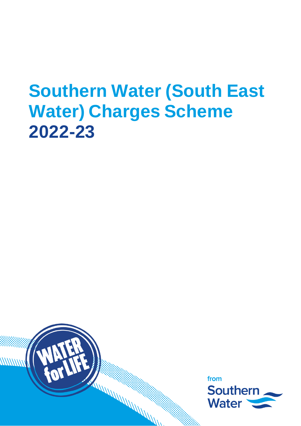# **Southern Water (South East Water) Charges Scheme 2022-23**



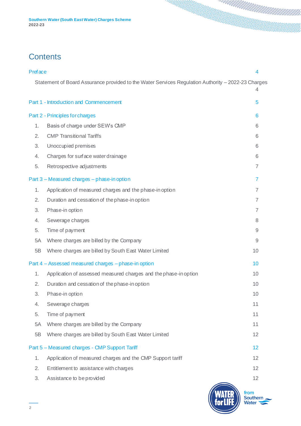#### **Contents**

| <b>Preface</b> |                                                                                                    | 4                         |
|----------------|----------------------------------------------------------------------------------------------------|---------------------------|
|                | Statement of Board Assurance provided to the Water Services Regulation Authority - 2022-23 Charges |                           |
|                | Part 1 - Introduction and Commencement                                                             | 5                         |
|                | Part 2 - Principles for charges                                                                    | 6                         |
| 1.             | Basis of charge under SEW's CMP                                                                    | 6                         |
| 2.             | <b>CMP Transitional Tariffs</b>                                                                    | 6                         |
| 3.             | Unoccupied premises                                                                                | 6                         |
| 4.             | Charges for surface water drainage                                                                 | 6                         |
| 5.             | Retrospective adjustments                                                                          | $\overline{7}$            |
|                | Part 3 - Measured charges - phase-in option                                                        | 7                         |
| 1.             | Application of measured charges and the phase-in option                                            | $\overline{7}$            |
| 2.             | Duration and cessation of the phase-in option                                                      | $\overline{7}$            |
| 3.             | Phase-in option                                                                                    | $\overline{7}$            |
| 4.             | Sewerage charges                                                                                   | 8                         |
| 5.             | Time of payment                                                                                    | $\mathsf{9}$              |
| 5A             | Where charges are billed by the Company                                                            | 9                         |
| 5B             | Where charges are billed by South East Water Limited                                               | 10                        |
|                | Part 4 - Assessed measured charges - phase-in option                                               | 10                        |
| 1.             | Application of assessed measured charges and the phase-in option                                   | 10                        |
| 2.             | Duration and cessation of the phase-in option                                                      | 10                        |
| 3.             | Phase-in option                                                                                    | 10                        |
| 4.             | Sewerage charges                                                                                   | 11                        |
| 5.             | Time of payment                                                                                    | 11                        |
| 5A             | Where charges are billed by the Company                                                            | 11                        |
| 5B             | Where charges are billed by South East Water Limited                                               | 12                        |
|                | Part 5 - Measured charges - CMP Support Tariff                                                     | 12                        |
| 1.             | Application of measured charges and the CMP Support tariff                                         | 12                        |
| 2.             | Entitlement to assistance with charges                                                             | 12                        |
| 3.             | Assistance to be provided                                                                          | 12                        |
|                |                                                                                                    | from<br>Southern<br>Water |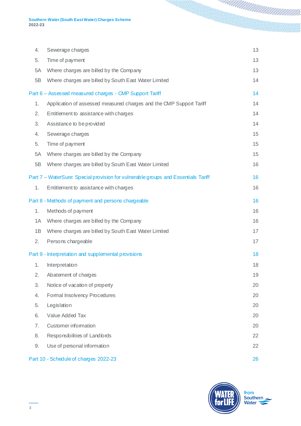| 4. | Sewerage charges                                                                  | 13 |
|----|-----------------------------------------------------------------------------------|----|
| 5. | Time of payment                                                                   | 13 |
| 5A | Where charges are billed by the Company                                           | 13 |
| 5B | Where charges are billed by South East Water Limited                              | 14 |
|    | Part 6 - Assessed measured charges - CMP Support Tariff                           | 14 |
| 1. | Application of assessed measured charges and the CMP Support Tariff               | 14 |
| 2. | Entitlement to assistance with charges                                            | 14 |
| 3. | Assistance to be provided                                                         | 14 |
| 4. | Sewerage charges                                                                  | 15 |
| 5. | Time of payment                                                                   | 15 |
| 5A | Where charges are billed by the Company                                           | 15 |
| 5B | Where charges are billed by South East Water Limited                              | 16 |
|    | Part 7 - WaterSure: Special provision for vulnerable groups and Essentials Tariff | 16 |
| 1. | Entitlement to assistance with charges                                            | 16 |
|    | Part 8 - Methods of payment and persons chargeable                                | 16 |
| 1. | Methods of payment                                                                | 16 |
| 1A | Where charges are billed by the Company                                           | 16 |
| 1B | Where charges are billed by South East Water Limited                              | 17 |
| 2. | Persons chargeable                                                                | 17 |
|    | Part 9 - Interpretation and supplemental provisions                               | 18 |
| 1. | Interpretation                                                                    | 18 |
| 2. | Abatement of charges                                                              | 19 |
| 3. | Notice of vacation of property                                                    | 20 |
| 4. | Formal Insolvency Procedures                                                      | 20 |
| 5. | Legislation                                                                       | 20 |
| 6. | Value Added Tax                                                                   | 20 |
| 7. | <b>Customer information</b>                                                       | 20 |
| 8. | Responsibilities of Landlords                                                     | 22 |
| 9. | Use of personal information                                                       | 22 |
|    | Part 10 - Schedule of charges 2022-23                                             | 26 |

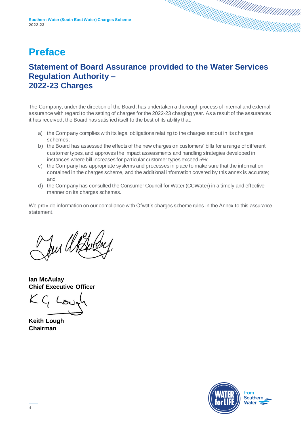### <span id="page-3-0"></span>**Preface**

#### <span id="page-3-1"></span>**Statement of Board Assurance provided to the Water Services Regulation Authority – 2022-23 Charges**

The Company, under the direction of the Board, has undertaken a thorough process of internal and external assurance with regard to the setting of charges for the 2022-23 charging year. As a result of the assurances it has received, the Board has satisfied itself to the best of its ability that:

- a) the Company complies with its legal obligations relating to the charges set out in its charges schemes;
- b) the Board has assessed the effects of the new charges on customers' bills for a range of different customer types, and approves the impact assessments and handling strategies developed in instances where bill increases for particular customer types exceed 5%;
- c) the Company has appropriate systems and processes in place to make sure that the information contained in the charges scheme, and the additional information covered by this annex is accurate; and
- d) the Company has consulted the Consumer Council for Water (CCWater) in a timely and effective manner on its charges schemes.

We provide information on our compliance with Ofwat's charges scheme rules in the Annex to this assurance statement.

Jur Us

**Ian McAulay Chief Executive Officer**

**Keith Lough Chairman**

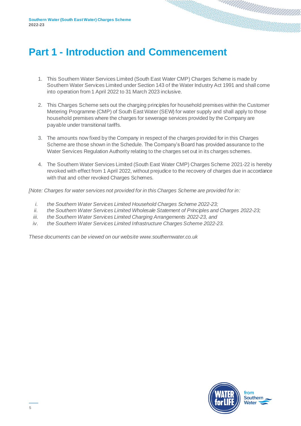### <span id="page-4-0"></span>**Part 1 - Introduction and Commencement**

- 1. This Southern Water Services Limited (South East Water CMP) Charges Scheme is made by Southern Water Services Limited under Section 143 of the Water Industry Act 1991 and shall come into operation from 1 April 2022 to 31 March 2023 inclusive.
- 2. This Charges Scheme sets out the charging principles for household premises within the Customer Metering Programme (CMP) of South East Water (SEW) for water supply and shall apply to those household premises where the charges for sewerage services provided by the Company are payable under transitional tariffs.
- 3. The amounts now fixed by the Company in respect of the charges provided for in this Charges Scheme are those shown in the Schedule. The Company's Board has provided assurance to the Water Services Regulation Authority relating to the charges set out in its charges schemes.
- 4. The Southern Water Services Limited (South East Water CMP) Charges Scheme 2021-22 is hereby revoked with effect from 1 April 2022, without prejudice to the recovery of charges due in accordance with that and other revoked Charges Schemes.

*[Note: Charges for water services not provided for in this Charges Scheme are provided for in:*

- *i. the Southern Water Services Limited Household Charges Scheme 2022-23;*
- *ii. the Southern Water Services Limited Wholesale Statement of Principles and Charges 2022-23;*
- *iii. the Southern Water Services Limited Charging Arrangements 2022-23, and*
- *iv. the Southern Water Services Limited Infrastructure Charges Scheme 2022-23.*

*These documents can be viewed on our website www.southernwater.co.uk*

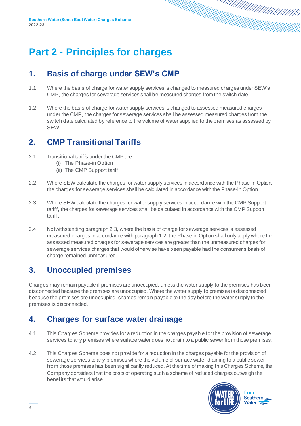## <span id="page-5-0"></span>**Part 2 - Principles for charges**

#### <span id="page-5-1"></span>**1. Basis of charge under SEW's CMP**

- 1.1 Where the basis of charge for water supply services is changed to measured charges under SEW's CMP, the charges for sewerage services shall be measured charges from the switch date.
- 1.2 Where the basis of charge for water supply services is changed to assessed measured charges under the CMP, the charges for sewerage services shall be assessed measured charges from the switch date calculated by reference to the volume of water supplied to the premises as assessed by SEW.

#### <span id="page-5-2"></span>**2. CMP Transitional Tariffs**

- 2.1 Transitional tariffs under the CMP are
	- (i) The Phase-in Option
	- (ii) The CMP Support tariff
- 2.2 Where SEW calculate the charges for water supply services in accordance with the Phase-in Option, the charges for sewerage services shall be calculated in accordance with the Phase-in Option.
- 2.3 Where SEW calculate the charges for water supply services in accordance with the CMP Support tariff, the charges for sewerage services shall be calculated in accordance with the CMP Support tariff.
- 2.4 Notwithstanding paragraph 2.3, where the basis of charge for sewerage services is assessed measured charges in accordance with paragraph 1.2, the Phase-in Option shall only apply where the assessed measured charges for sewerage services are greater than the unmeasured charges for sewerage services charges that would otherwise have been payable had the consumer's basis of charge remained unmeasured

#### <span id="page-5-3"></span>**3. Unoccupied premises**

Charges may remain payable if premises are unoccupied, unless the water supply to the premises has been disconnected because the premises are unoccupied. Where the water supply to premises is disconnected because the premises are unoccupied, charges remain payable to the day before the water supply to the premises is disconnected.

#### <span id="page-5-4"></span>**4. Charges for surface water drainage**

- 4.1 This Charges Scheme provides for a reduction in the charges payable for the provision of sewerage services to any premises where surface water does not drain to a public sewer from those premises.
- 4.2 This Charges Scheme does not provide for a reduction in the charges payable for the provision of sewerage services to any premises where the volume of surface water draining to a public sewer from those premises has been significantly reduced. At the time of making this Charges Scheme, the Company considers that the costs of operating such a scheme of reduced charges outweigh the benefits that would arise.

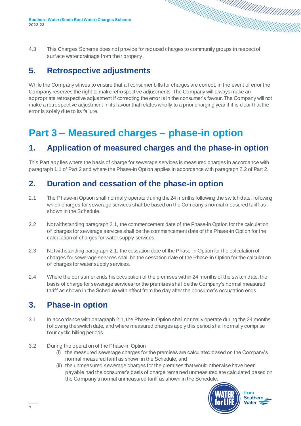4.3 This Charges Scheme does not provide for reduced charges to community groups in respect of surface water drainage from their property.

#### <span id="page-6-0"></span>**5. Retrospective adjustments**

While the Company strives to ensure that all consumer bills for charges are correct, in the event of error the Company reserves the right to make retrospective adjustments. The Company will always make an appropriate retrospective adjustment if correcting the error is in the consumer's favour. The Company will not make a retrospective adjustment in its favour that relates wholly to a prior charging year if it is clear that the error is solely due to its failure.

### <span id="page-6-1"></span>**Part 3 – Measured charges – phase-in option**

#### <span id="page-6-2"></span>**1. Application of measured charges and the phase-in option**

This Part applies where the basis of charge for sewerage services is measured charges in accordance with paragraph 1.1 of Part 2 and where the Phase-in Option applies in accordance with paragraph 2.2 of Part 2.

#### <span id="page-6-3"></span>**2. Duration and cessation of the phase-in option**

- 2.1 The Phase-in Option shall normally operate during the 24 months following the switch date, following which charges for sewerage services shall be based on the Company's normal measured tariff as shown in the Schedule.
- 2.2 Notwithstanding paragraph 2.1, the commencement date of the Phase-in Option for the calculation of charges for sewerage services shall be the commencement date of the Phase-in Option for the calculation of charges for water supply services.
- 2.3 Notwithstanding paragraph 2.1, the cessation date of the Phase-in Option for the calculation of charges for sewerage services shall be the cessation date of the Phase-in Option for the calculation of charges for water supply services.
- 2.4 Where the consumer ends his occupation of the premises within 24 months of the switch date, the basis of charge for sewerage services for the premises shall be the Company's normal measured tariff as shown in the Schedule with effect from the day after the consumer's occupation ends.

#### <span id="page-6-4"></span>**3. Phase-in option**

- 3.1 In accordance with paragraph 2.1, the Phase-in Option shall normally operate during the 24 months following the switch date, and where measured charges apply this period shall normally comprise four cyclic billing periods.
- 3.2 During the operation of the Phase-in Option
	- (i) the measured sewerage charges for the premises are calculated based on the Company's normal measured tariff as shown in the Schedule, and
	- (ii) the unmeasured sewerage charges for the premises that would otherwise have been payable had the consumer's basis of charge remained unmeasured are calculated based on the Company's normal unmeasured tariff as shown in the Schedule.

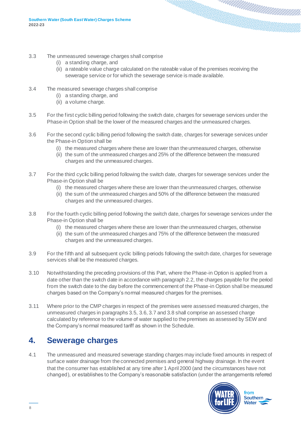- 3.3 The unmeasured sewerage charges shall comprise
	- (i) a standing charge, and
	- (ii) a rateable value charge calculated on the rateable value of the premises receiving the sewerage service or for which the sewerage service is made available.
- 3.4 The measured sewerage charges shall comprise
	- (i) a standing charge, and
	- (ii) a volume charge.
- 3.5 For the first cyclic billing period following the switch date, charges for sewerage services under the Phase-in Option shall be the lower of the measured charges and the unmeasured charges.
- 3.6 For the second cyclic billing period following the switch date, charges for sewerage services under the Phase-in Option shall be
	- (i) the measured charges where these are lower than the unmeasured charges, otherwise
	- (ii) the sum of the unmeasured charges and 25% of the difference between the measured charges and the unmeasured charges.
- 3.7 For the third cyclic billing period following the switch date, charges for sewerage services under the Phase-in Option shall be
	- (i) the measured charges where these are lower than the unmeasured charges, otherwise
	- (ii) the sum of the unmeasured charges and 50% of the difference between the measured charges and the unmeasured charges.
- 3.8 For the fourth cyclic billing period following the switch date, charges for sewerage services under the Phase-in Option shall be
	- (i) the measured charges where these are lower than the unmeasured charges, otherwise
	- (ii) the sum of the unmeasured charges and 75% of the difference between the measured charges and the unmeasured charges.
- 3.9 For the fifth and all subsequent cyclic billing periods following the switch date, charges for sewerage services shall be the measured charges.
- 3.10 Notwithstanding the preceding provisions of this Part, where the Phase-in Option is applied from a date other than the switch date in accordance with paragraph 2.2, the charges payable for the period from the switch date to the day before the commencement of the Phase-in Option shall be measured charges based on the Company's normal measured charges for the premises.
- 3.11 Where prior to the CMP charges in respect of the premises were assessed measured charges, the unmeasured charges in paragraphs 3.5, 3.6, 3.7 and 3.8 shall comprise an assessed charge calculated by reference to the volume of water supplied to the premises as assessed by SEW and the Company's normal measured tariff as shown in the Schedule.

#### <span id="page-7-0"></span>**4. Sewerage charges**

4.1 The unmeasured and measured sewerage standing charges may include fixed amounts in respect of surface water drainage from the connected premises and general highway drainage. In the event that the consumer has established at any time after 1 April 2000 (and the circumstances have not changed), or establishes to the Company's reasonable satisfaction (under the arrangements referred

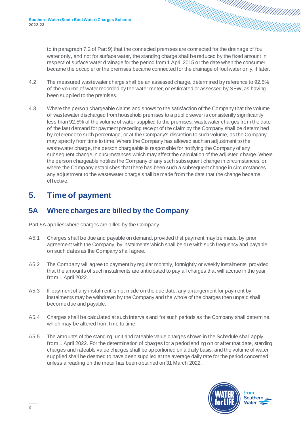to in paragraph 7.2 of Part 9) that the connected premises are connected for the drainage of foul water only, and not for surface water, the standing charge shall be reduced by the fixed amount in respect of surface water drainage for the period from 1 April 2015 or the date when the consumer became the occupier or the premises became connected for the drainage of foul water only, if later.

- 4.2 The measured wastewater charge shall be an assessed charge, determined by reference to 92.5% of the volume of water recorded by the water meter, or estimated or assessed by SEW, as having been supplied to the premises.
- 4.3 Where the person chargeable claims and shows to the satisfaction of the Company that the volume of wastewater discharged from household premises to a public sewer is consistently significantly less than 92.5% of the volume of water supplied to the premises, wastewater charges from the date of the last demand for payment preceding receipt of the claim by the Company shall be determined by reference to such percentage, or at the Company's discretion to such volume, as the Company may specify from time to time. Where the Company has allowed such an adjustment to the wastewater charge, the person chargeable is responsible for notifying the Company of any subsequent change in circumstances which may affect the calculation of the adjusted charge. Where the person chargeable notifies the Company of any such subsequent change in circumstances, or where the Company establishes that there has been such a subsequent change in circumstances, any adjustment to the wastewater charge shall be made from the date that the change became effective.

#### <span id="page-8-0"></span>**5. Time of payment**

#### <span id="page-8-1"></span>**5A Where charges are billed by the Company**

Part 5A applies where charges are billed by the Company.

- A5.1 Charges shall be due and payable on demand, provided that payment may be made, by prior agreement with the Company, by instalments which shall be due with such frequency and payable on such dates as the Company shall agree.
- A5.2 The Company will agree to payment by regular monthly, fortnightly or weekly instalments, provided that the amounts of such instalments are anticipated to pay all charges that will accrue in the year from 1 April 2022.
- A5.3 If payment of any instalment is not made on the due date, any arrangement for payment by instalments may be withdrawn by the Company and the whole of the charges then unpaid shall become due and payable.
- A5.4 Charges shall be calculated at such intervals and for such periods as the Company shall determine, which may be altered from time to time.
- A5.5 The amounts of the standing, unit and rateable value charges shown in the Schedule shall apply from 1 April 2022. For the determination of charges for a period ending on or after that date, standing charges and rateable value charges shall be apportioned on a daily basis, and the volume of water supplied shall be deemed to have been supplied at the average daily rate for the period concerned unless a reading on the meter has been obtained on 31 March 2022.

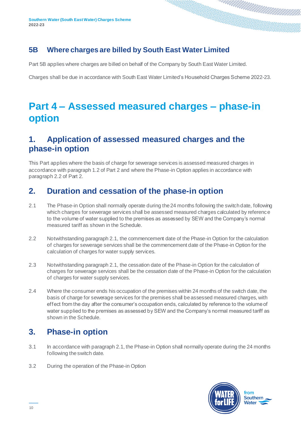#### <span id="page-9-0"></span>**5B Where charges are billed by South East Water Limited**

Part 5B applies where charges are billed on behalf of the Company by South East Water Limited.

Charges shall be due in accordance with South East Water Limited's Household Charges Scheme 2022-23.

### <span id="page-9-1"></span>**Part 4 – Assessed measured charges – phase-in option**

#### <span id="page-9-2"></span>**1. Application of assessed measured charges and the phase-in option**

This Part applies where the basis of charge for sewerage services is assessed measured charges in accordance with paragraph 1.2 of Part 2 and where the Phase-in Option applies in accordance with paragraph 2.2 of Part 2.

#### <span id="page-9-3"></span>**2. Duration and cessation of the phase-in option**

- 2.1 The Phase-in Option shall normally operate during the 24 months following the switch date, following which charges for sewerage services shall be assessed measured charges calculated by reference to the volume of water supplied to the premises as assessed by SEW and the Company's normal measured tariff as shown in the Schedule.
- 2.2 Notwithstanding paragraph 2.1, the commencement date of the Phase-in Option for the calculation of charges for sewerage services shall be the commencement date of the Phase-in Option for the calculation of charges for water supply services.
- 2.3 Notwithstanding paragraph 2.1, the cessation date of the Phase-in Option for the calculation of charges for sewerage services shall be the cessation date of the Phase-in Option for the calculation of charges for water supply services.
- 2.4 Where the consumer ends his occupation of the premises within 24 months of the switch date, the basis of charge for sewerage services for the premises shall be assessed measured charges, with effect from the day after the consumer's occupation ends, calculated by reference to the volume of water supplied to the premises as assessed by SEW and the Company's normal measured tariff as shown in the Schedule.

#### <span id="page-9-4"></span>**3. Phase-in option**

- 3.1 In accordance with paragraph 2.1, the Phase-in Option shall normally operate during the 24 months following the switch date.
- 3.2 During the operation of the Phase-in Option

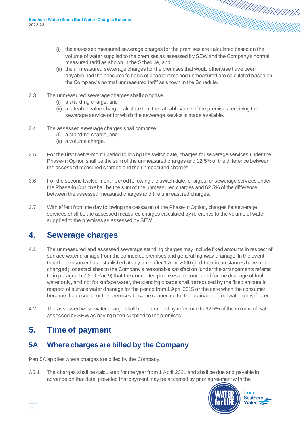- (i) the assessed measured sewerage charges for the premises are calculated based on the volume of water supplied to the premises as assessed by SEW and the Company's normal measured tariff as shown in the Schedule, and
- (ii) the unmeasured sewerage charges for the premises that would otherwise have been payable had the consumer's basis of charge remained unmeasured are calculated based on the Company's normal unmeasured tariff as shown in the Schedule.
- 3.3 The unmeasured sewerage charges shall comprise
	- (i) a standing charge, and
	- (ii) a rateable value charge calculated on the rateable value of the premises receiving the sewerage service or for which the sewerage service is made available.
- 3.4 The assessed sewerage charges shall comprise
	- (i) a standing charge, and
	- (ii) a volume charge.
- 3.5 For the first twelve-month period following the switch date, charges for sewerage services under the Phase-in Option shall be the sum of the unmeasured charges and 12.5% of the difference between the assessed measured charges and the unmeasured charges.
- 3.6 For the second twelve-month period following the switch date, charges for sewerage services under the Phase-in Option shall be the sum of the unmeasured charges and 62.5% of the difference between the assessed measured charges and the unmeasured charges.
- 3.7 With effect from the day following the cessation of the Phase-in Option, charges for sewerage services shall be the assessed measured charges calculated by reference to the volume of water supplied to the premises as assessed by SEW.

#### <span id="page-10-0"></span>**4. Sewerage charges**

- 4.1 The unmeasured and assessed sewerage standing charges may include fixed amounts in respect of surface water drainage from the connected premises and general highway drainage. In the event that the consumer has established at any time after 1 April 2000 (and the circumstances have not changed), or establishes to the Company's reasonable satisfaction (under the arrangements referred to in paragraph 7.2 of Part 9) that the connected premises are connected for the drainage of foul water only, and not for surface water, the standing charge shall be reduced by the fixed amount in respect of surface water drainage for the period from 1 April 2015 or the date when the consumer became the occupier or the premises became connected for the drainage of foul water only, if later.
- 4.2 The assessed wastewater charge shall be determined by reference to 92.5% of the volume of water assessed by SEW as having been supplied to the premises.

#### <span id="page-10-1"></span>**5. Time of payment**

#### <span id="page-10-2"></span>**5A Where charges are billed by the Company**

Part 5A applies where charges are billed by the Company.

A5.1 The charges shall be calculated for the year from 1 April 2021 and shall be due and payable in advance on that date, provided that payment may be accepted by prior agreement with the

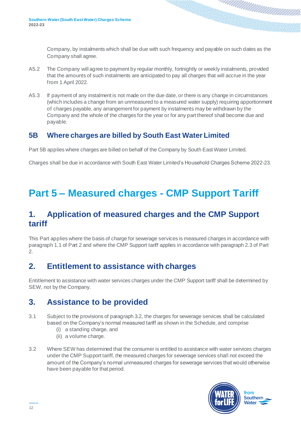Company, by instalments which shall be due with such frequency and payable on such dates as the Company shall agree.

- A5.2 The Company will agree to payment by regular monthly, fortnightly or weekly instalments, provided that the amounts of such instalments are anticipated to pay all charges that will accrue in the year from 1 April 2022.
- A5.3 If payment of any instalment is not made on the due date, or there is any change in circumstances (which includes a change from an unmeasured to a measured water supply) requiring apportionment of charges payable, any arrangement for payment by instalments may be withdrawn by the Company and the whole of the charges for the year or for any part thereof shall become due and payable.

#### <span id="page-11-0"></span>**5B Where charges are billed by South East Water Limited**

Part 5B applies where charges are billed on behalf of the Company by South East Water Limited.

Charges shall be due in accordance with South East Water Limited's Household Charges Scheme 2022-23.

# <span id="page-11-1"></span>**Part 5 – Measured charges - CMP Support Tariff**

#### <span id="page-11-2"></span>**1. Application of measured charges and the CMP Support tariff**

This Part applies where the basis of charge for sewerage services is measured charges in accordance with paragraph 1.1 of Part 2 and where the CMP Support tariff applies in accordance with paragraph 2.3 of Part 2.

#### <span id="page-11-3"></span>**2. Entitlement to assistance with charges**

Entitlement to assistance with water services charges under the CMP Support tariff shall be determined by SEW, not by the Company.

#### <span id="page-11-4"></span>**3. Assistance to be provided**

- 3.1 Subject to the provisions of paragraph 3.2, the charges for sewerage services shall be calculated based on the Company's normal measured tariff as shown in the Schedule, and comprise
	- (i) a standing charge, and
	- (ii) a volume charge.
- 3.2 Where SEW has determined that the consumer is entitled to assistance with water services charges under the CMP Support tariff, the measured charges for sewerage services shall not exceed the amount of the Company's normal unmeasured charges for sewerage services that would otherwise have been payable for that period.

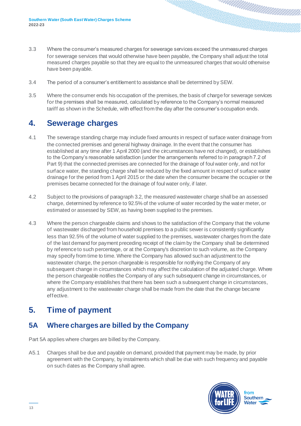- 3.3 Where the consumer's measured charges for sewerage services exceed the unmeasured charges for sewerage services that would otherwise have been payable, the Company shall adjust the total measured charges payable so that they are equal to the unmeasured charges that would otherwise have been payable.
- 3.4 The period of a consumer's entitlement to assistance shall be determined by SEW.
- 3.5 Where the consumer ends his occupation of the premises, the basis of charge for sewerage services for the premises shall be measured, calculated by reference to the Company's normal measured tariff as shown in the Schedule, with effect from the day after the consumer's occupation ends.

#### <span id="page-12-0"></span>**4. Sewerage charges**

- 4.1 The sewerage standing charge may include fixed amounts in respect of surface water drainage from the connected premises and general highway drainage. In the event that the consumer has established at any time after 1 April 2000 (and the circumstances have not changed), or establishes to the Company's reasonable satisfaction (under the arrangements referred to in paragraph 7.2 of Part 9) that the connected premises are connected for the drainage of foul water only, and not for surface water, the standing charge shall be reduced by the fixed amount in respect of surface water drainage for the period from 1 April 2015 or the date when the consumer became the occupier or the premises became connected for the drainage of foul water only, if later.
- 4.2 Subject to the provisions of paragraph 3.2, the measured wastewater charge shall be an assessed charge, determined by reference to 92.5% of the volume of water recorded by the water meter, or estimated or assessed by SEW, as having been supplied to the premises.
- 4.3 Where the person chargeable claims and shows to the satisfaction of the Company that the volume of wastewater discharged from household premises to a public sewer is consistently significantly less than 92.5% of the volume of water supplied to the premises, wastewater charges from the date of the last demand for payment preceding receipt of the claim by the Company shall be determined by reference to such percentage, or at the Company's discretion to such volume, as the Company may specify from time to time. Where the Company has allowed such an adjustment to the wastewater charge, the person chargeable is responsible for notifying the Company of any subsequent change in circumstances which may affect the calculation of the adjusted charge. Where the person chargeable notifies the Company of any such subsequent change in circumstances, or where the Company establishes that there has been such a subsequent change in circumstances, any adjustment to the wastewater charge shall be made from the date that the change became effective.

#### <span id="page-12-1"></span>**5. Time of payment**

#### <span id="page-12-2"></span>**5A Where charges are billed by the Company**

Part 5A applies where charges are billed by the Company.

A5.1 Charges shall be due and payable on demand, provided that payment may be made, by prior agreement with the Company, by instalments which shall be due with such frequency and payable on such dates as the Company shall agree.

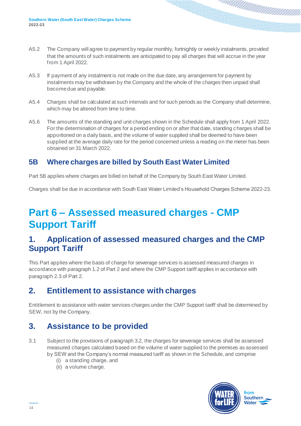- A5.2 The Company will agree to payment by regular monthly, fortnightly or weekly instalments, provided that the amounts of such instalments are anticipated to pay all charges that will accrue in the year from 1 April 2022.
- A5.3 If payment of any instalment is not made on the due date, any arrangement for payment by instalments may be withdrawn by the Company and the whole of the charges then unpaid shall become due and payable.
- A5.4 Charges shall be calculated at such intervals and for such periods as the Company shall determine, which may be altered from time to time.
- A5.6 The amounts of the standing and unit charges shown in the Schedule shall apply from 1 April 2022. For the determination of charges for a period ending on or after that date, standing charges shall be apportioned on a daily basis, and the volume of water supplied shall be deemed to have been supplied at the average daily rate for the period concerned unless a reading on the meter has been obtained on 31 March 2022.

#### <span id="page-13-0"></span>**5B Where charges are billed by South East Water Limited**

Part 5B applies where charges are billed on behalf of the Company by South East Water Limited.

Charges shall be due in accordance with South East Water Limited's Household Charges Scheme 2022-23.

### <span id="page-13-1"></span>**Part 6 – Assessed measured charges - CMP Support Tariff**

#### <span id="page-13-2"></span>**1. Application of assessed measured charges and the CMP Support Tariff**

This Part applies where the basis of charge for sewerage services is assessed measured charges in accordance with paragraph 1.2 of Part 2 and where the CMP Support tariff applies in accordance with paragraph 2.3 of Part 2.

#### <span id="page-13-3"></span>**2. Entitlement to assistance with charges**

Entitlement to assistance with water services charges under the CMP Support tariff shall be determined by SEW, not by the Company.

### <span id="page-13-4"></span>**3. Assistance to be provided**

- 3.1 Subject to the provisions of paragraph 3.2, the charges for sewerage services shall be assessed measured charges calculated based on the volume of water supplied to the premises as assessed by SEW and the Company's normal measured tariff as shown in the Schedule, and comprise
	- (i) a standing charge, and
	- (ii) a volume charge.

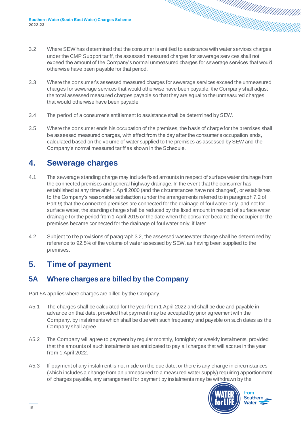- 3.2 Where SEW has determined that the consumer is entitled to assistance with water services charges under the CMP Support tariff, the assessed measured charges for sewerage services shall not exceed the amount of the Company's normal unmeasured charges for sewerage services that would otherwise have been payable for that period.
- 3.3 Where the consumer's assessed measured charges for sewerage services exceed the unmeasured charges for sewerage services that would otherwise have been payable, the Company shall adjust the total assessed measured charges payable so that they are equal to the unmeasured charges that would otherwise have been payable.
- 3.4 The period of a consumer's entitlement to assistance shall be determined by SEW.
- 3.5 Where the consumer ends his occupation of the premises, the basis of charge for the premises shall be assessed measured charges, with effect from the day after the consumer's occupation ends, calculated based on the volume of water supplied to the premises as assessed by SEW and the Company's normal measured tariff as shown in the Schedule.

#### <span id="page-14-0"></span>**4. Sewerage charges**

- 4.1 The sewerage standing charge may include fixed amounts in respect of surface water drainage from the connected premises and general highway drainage. In the event that the consumer has established at any time after 1 April 2000 (and the circumstances have not changed), or establishes to the Company's reasonable satisfaction (under the arrangements referred to in paragraph 7.2 of Part 9) that the connected premises are connected for the drainage of foul water only, and not for surface water, the standing charge shall be reduced by the fixed amount in respect of surface water drainage for the period from 1 April 2015 or the date when the consumer became the occupier or the premises became connected for the drainage of foul water only, if later.
- 4.2 Subject to the provisions of paragraph 3.2, the assessed wastewater charge shall be determined by reference to 92.5% of the volume of water assessed by SEW, as having been supplied to the premises.

#### <span id="page-14-1"></span>**5. Time of payment**

#### <span id="page-14-2"></span>**5A Where charges are billed by the Company**

Part 5A applies where charges are billed by the Company.

- A5.1 The charges shall be calculated for the year from 1 April 2022 and shall be due and payable in advance on that date, provided that payment may be accepted by prior agreement with the Company, by instalments which shall be due with such frequency and payable on such dates as the Company shall agree.
- A5.2 The Company will agree to payment by regular monthly, fortnightly or weekly instalments, provided that the amounts of such instalments are anticipated to pay all charges that will accrue in the year from 1 April 2022.
- A5.3 If payment of any instalment is not made on the due date, or there is any change in circumstances (which includes a change from an unmeasured to a measured water supply) requiring apportionment of charges payable, any arrangement for payment by instalments may be withdrawn by the

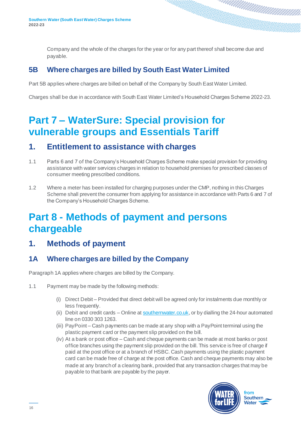Company and the whole of the charges for the year or for any part thereof shall become due and payable.

#### <span id="page-15-0"></span>**5B Where charges are billed by South East Water Limited**

Part 5B applies where charges are billed on behalf of the Company by South East Water Limited.

Charges shall be due in accordance with South East Water Limited's Household Charges Scheme 2022-23.

### <span id="page-15-1"></span>**Part 7 – WaterSure: Special provision for vulnerable groups and Essentials Tariff**

#### <span id="page-15-2"></span>**1. Entitlement to assistance with charges**

- 1.1 Parts 6 and 7 of the Company's Household Charges Scheme make special provision for providing assistance with water services charges in relation to household premises for prescribed classes of consumer meeting prescribed conditions.
- 1.2 Where a meter has been installed for charging purposes under the CMP, nothing in this Charges Scheme shall prevent the consumer from applying for assistance in accordance with Parts 6 and 7 of the Company's Household Charges Scheme.

### <span id="page-15-3"></span>**Part 8 - Methods of payment and persons chargeable**

#### <span id="page-15-4"></span>**1. Methods of payment**

#### <span id="page-15-5"></span>**1A Where charges are billed by the Company**

Paragraph 1A applies where charges are billed by the Company.

- 1.1 Payment may be made by the following methods:
	- (i) Direct Debit Provided that direct debit will be agreed only for instalments due monthly or less frequently.
	- (ii) Debit and credit cards Online a[t southernwater.co.uk](https://www.southernwater.co.uk/), or by dialling the 24-hour automated line on 0330 303 1263.
	- (iii) PayPoint Cash payments can be made at any shop with a PayPoint terminal using the plastic payment card or the payment slip provided on the bill.
	- (iv) At a bank or post office Cash and cheque payments can be made at most banks or post office branches using the payment slip provided on the bill. This service is free of charge if paid at the post office or at a branch of HSBC. Cash payments using the plastic payment card can be made free of charge at the post office. Cash and cheque payments may also be made at any branch of a clearing bank, provided that any transaction charges that may be payable to that bank are payable by the payer.

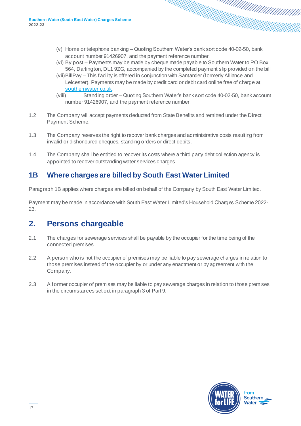- (v) Home or telephone banking Quoting Southern Water's bank sort code 40-02-50, bank account number 91426907, and the payment reference number.
- (vi) By post Payments may be made by cheque made payable to Southern Water to PO Box 564, Darlington, DL1 9ZG, accompanied by the completed payment slip provided on the bill.
- (vii)BillPay This facility is offered in conjunction with Santander (formerly Alliance and Leicester). Payments may be made by credit card or debit card online free of charge at [southernwater.co.uk](https://www.southernwater.co.uk/).
- (viii) Standing order Quoting Southern Water's bank sort code 40-02-50, bank account number 91426907, and the payment reference number.
- 1.2 The Company will accept payments deducted from State Benefits and remitted under the Direct Payment Scheme.
- 1.3 The Company reserves the right to recover bank charges and administrative costs resulting from invalid or dishonoured cheques, standing orders or direct debits.
- 1.4 The Company shall be entitled to recover its costs where a third party debt collection agency is appointed to recover outstanding water services charges.

#### <span id="page-16-0"></span>**1B Where charges are billed by South East Water Limited**

Paragraph 1B applies where charges are billed on behalf of the Company by South East Water Limited.

Payment may be made in accordance with South East Water Limited's Household Charges Scheme 2022- 23.

#### <span id="page-16-1"></span>**2. Persons chargeable**

- 2.1 The charges for sewerage services shall be payable by the occupier for the time being of the connected premises.
- 2.2 A person who is not the occupier of premises may be liable to pay sewerage charges in relation to those premises instead of the occupier by or under any enactment or by agreement with the Company.
- 2.3 A former occupier of premises may be liable to pay sewerage charges in relation to those premises in the circumstances set out in paragraph 3 of Part 9.

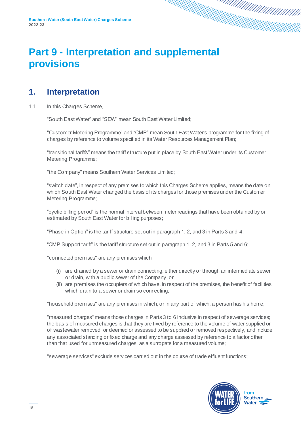### <span id="page-17-0"></span>**Part 9 - Interpretation and supplemental provisions**

#### <span id="page-17-1"></span>**1. Interpretation**

1.1 In this Charges Scheme,

"South East Water" and "SEW" mean South East Water Limited;

"Customer Metering Programme" and "CMP" mean South East Water's programme for the fixing of charges by reference to volume specified in its Water Resources Management Plan;

"transitional tariffs" means the tariff structure put in place by South East Water under its Customer Metering Programme;

"the Company" means Southern Water Services Limited;

"switch date", in respect of any premises to which this Charges Scheme applies, means the date on which South East Water changed the basis of its charges for those premises under the Customer Metering Programme;

"cyclic billing period" is the normal interval between meter readings that have been obtained by or estimated by South East Water for billing purposes;

"Phase-in Option" is the tariff structure set out in paragraph 1, 2, and 3 in Parts 3 and 4;

"CMP Support tariff" is the tariff structure set out in paragraph 1, 2, and 3 in Parts 5 and 6;

"connected premises" are any premises which

- (i) are drained by a sewer or drain connecting, either directly or through an intermediate sewer or drain, with a public sewer of the Company, or
- (ii) are premises the occupiers of which have, in respect of the premises, the benefit of facilities which drain to a sewer or drain so connecting;

"household premises" are any premises in which, or in any part of which, a person has his home;

"measured charges" means those charges in Parts 3 to 6 inclusive in respect of sewerage services; the basis of measured charges is that they are fixed by reference to the volume of water supplied or of wastewater removed, or deemed or assessed to be supplied or removed respectively, and include any associated standing or fixed charge and any charge assessed by reference to a factor other than that used for unmeasured charges, as a surrogate for a measured volume;

"sewerage services" exclude services carried out in the course of trade effluent functions;

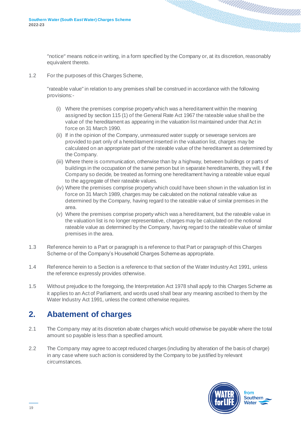notice means notice in writing, in a form specified by the Company or, at its discretion, reasonably equivalent thereto.

1.2 For the purposes of this Charges Scheme,

"rateable value" in relation to any premises shall be construed in accordance with the following provisions:-

- (i) Where the premises comprise property which was a hereditament within the meaning assigned by section 115 (1) of the General Rate Act 1967 the rateable value shall be the value of the hereditament as appearing in the valuation list maintained under that Act in force on 31 March 1990.
- (ii) If in the opinion of the Company, unmeasured water supply or sewerage services are provided to part only of a hereditament inserted in the valuation list, charges may be calculated on an appropriate part of the rateable value of the hereditament as determined by the Company.
- (iii) Where there is communication, otherwise than by a highway, between buildings or parts of buildings in the occupation of the same person but in separate hereditaments, they will, if the Company so decide, be treated as forming one hereditament having a rateable value equal to the aggregate of their rateable values.
- (iv) Where the premises comprise property which could have been shown in the valuation list in force on 31 March 1989, charges may be calculated on the notional rateable value as determined by the Company, having regard to the rateable value of similar premises in the area.
- (v) Where the premises comprise property which was a hereditament, but the rateable value in the valuation list is no longer representative, charges may be calculated on the notional rateable value as determined by the Company, having regard to the rateable value of similar premises in the area.
- 1.3 Reference herein to a Part or paragraph is a reference to that Part or paragraph of this Charges Scheme or of the Company's Household Charges Scheme as appropriate.
- 1.4 Reference herein to a Section is a reference to that section of the Water Industry Act 1991, unless the reference expressly provides otherwise.
- 1.5 Without prejudice to the foregoing, the Interpretation Act 1978 shall apply to this Charges Scheme as it applies to an Act of Parliament, and words used shall bear any meaning ascribed to them by the Water Industry Act 1991, unless the context otherwise requires.

#### <span id="page-18-0"></span>**2. Abatement of charges**

- 2.1 The Company may at its discretion abate charges which would otherwise be payable where the total amount so payable is less than a specified amount.
- 2.2 The Company may agree to accept reduced charges (including by alteration of the basis of charge) in any case where such action is considered by the Company to be justified by relevant circumstances.

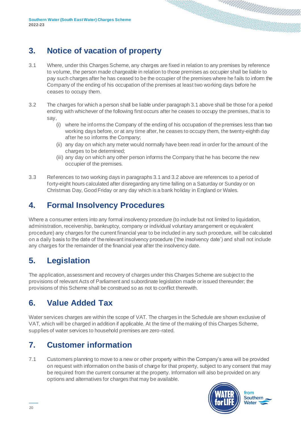### <span id="page-19-0"></span>**3. Notice of vacation of property**

- 3.1 Where, under this Charges Scheme, any charges are fixed in relation to any premises by reference to volume, the person made chargeable in relation to those premises as occupier shall be liable to pay such charges after he has ceased to be the occupier of the premises where he fails to inform the Company of the ending of his occupation of the premises at least two working days before he ceases to occupy them.
- 3.2 The charges for which a person shall be liable under paragraph 3.1 above shall be those for a period ending with whichever of the following first occurs after he ceases to occupy the premises, that is to say,
	- (i) where he informs the Company of the ending of his occupation of the premises less than two working days before, or at any time after, he ceases to occupy them, the twenty-eighth day after he so informs the Company;
	- (ii) any day on which any meter would normally have been read in order for the amount of the charges to be determined;
	- (iii) any day on which any other person informs the Company that he has become the new occupier of the premises.
- 3.3 References to two working days in paragraphs 3.1 and 3.2 above are references to a period of forty-eight hours calculated after disregarding any time falling on a Saturday or Sunday or on Christmas Day, Good Friday or any day which is a bank holiday in England or Wales.

#### <span id="page-19-1"></span>**4. Formal Insolvency Procedures**

Where a consumer enters into any formal insolvency procedure (to include but not limited to liquidation, administration, receivership, bankruptcy, company or individual voluntary arrangement or equivalent procedure) any charges for the current financial year to be included in any such procedure, will be calculated on a daily basis to the date of the relevant insolvency procedure ('the insolvency date') and shall not include any charges for the remainder of the financial year after the insolvency date.

### <span id="page-19-2"></span>**5. Legislation**

The application, assessment and recovery of charges under this Charges Scheme are subject to the provisions of relevant Acts of Parliament and subordinate legislation made or issued thereunder; the provisions of this Scheme shall be construed so as not to conflict therewith.

#### <span id="page-19-3"></span>**6. Value Added Tax**

Water services charges are within the scope of VAT. The charges in the Schedule are shown exclusive of VAT, which will be charged in addition if applicable. At the time of the making of this Charges Scheme, supplies of water services to household premises are zero-rated.

### <span id="page-19-4"></span>**7. Customer information**

7.1 Customers planning to move to a new or other property within the Company's area will be provided on request with information on the basis of charge for that property, subject to any consent that may be required from the current consumer at the property. Information will also be provided on any options and alternatives for charges that may be available.

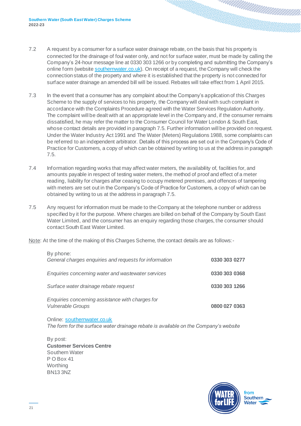- 7.2 A request by a consumer for a surface water drainage rebate, on the basis that his property is connected for the drainage of foul water only, and not for surface water, must be made by calling the Company's 24-hour message line at 0330 303 1266 or by completing and submitting the Company's online form (websit[e southernwater.co.uk](https://www.southernwater.co.uk/)). On receipt of a request, the Company will check the connection status of the property and where it is established that the property is not connected for surface water drainage an amended bill will be issued. Rebates will take effect from 1 April 2015.
- 7.3 In the event that a consumer has any complaint about the Company's application of this Charges Scheme to the supply of services to his property, the Company will deal with such complaint in accordance with the Complaints Procedure agreed with the Water Services Regulation Authority. The complaint will be dealt with at an appropriate level in the Company and, if the consumer remains dissatisfied, he may refer the matter to the Consumer Council for Water London & South East, whose contact details are provided in paragraph 7.5. Further information will be provided on request. Under the Water Industry Act 1991 and The Water (Meters) Regulations 1988, some complaints can be referred to an independent arbitrator. Details of this process are set out in the Company's Code of Practice for Customers, a copy of which can be obtained by writing to us at the address in paragraph 7.5.
- 7.4 Information regarding works that may affect water meters, the availability of, facilities for, and amounts payable in respect of testing water meters, the method of proof and effect of a meter reading, liability for charges after ceasing to occupy metered premises, and offences of tampering with meters are set out in the Company's Code of Practice for Customers, a copy of which can be obtained by writing to us at the address in paragraph 7.5.
- 7.5 Any request for information must be made to the Company at the telephone number or address specified by it for the purpose. Where charges are billed on behalf of the Company by South East Water Limited, and the consumer has an enquiry regarding those charges, the consumer should contact South East Water Limited.
- Note: At the time of the making of this Charges Scheme, the contact details are as follows:-

| By phone:<br>General charges enquiries and requests for information          | 0330 303 0277 |
|------------------------------------------------------------------------------|---------------|
| Enquiries concerning water and wastewater services                           | 0330 303 0368 |
| Surface water drainage rebate request                                        | 0330 303 1266 |
| Enquiries concerning assistance with charges for<br><b>Vulnerable Groups</b> | 0800 027 0363 |

Online: [southernwater.co.uk](https://www.southernwater.co.uk/) *The form for the surface water drainage rebate is available on the Company's website*

By post: **Customer Services Centre** Southern Water P O Box 41 **Worthing** BN13 3NZ

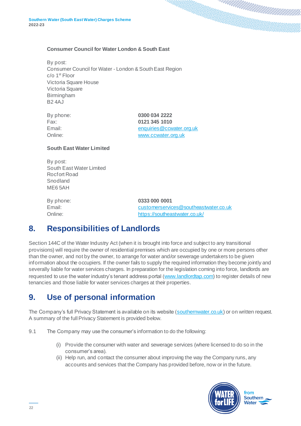#### **Consumer Council for Water London & South East**

By post: Consumer Council for Water - London & South East Region  $c$ / $o$  1<sup>st</sup> Floor Victoria Square House Victoria Square Birmingham B2 4AJ

| By phone: |
|-----------|
| Fax:      |
| Email:    |
| Online:   |

By phone: **0300 034 2222** Fax: **0121 345 1010** enquiries@ccwater.org.uk [www.ccwater.org.uk](http://www.ccwater.org.uk/)

#### **South East Water Limited**

By post: South East Water Limited Rocfort Road Snodland ME6 5AH

By phone: **0333 000 0001** Email: [customerservices@southeastwater.co.uk](mailto:customerservices@southeastwater.co.uk) Online: <https://southeastwater.co.uk/>

#### <span id="page-21-0"></span>**8. Responsibilities of Landlords**

Section 144C of the Water Industry Act (when it is brought into force and subject to any transitional provisions) will require the owner of residential premises which are occupied by one or more persons other than the owner, and not by the owner, to arrange for water and/or sewerage undertakers to be given information about the occupiers. If the owner fails to supply the required information they become jointly and severally liable for water services charges. In preparation for the legislation coming into force, landlords are requested to use the water industry's tenant address portal [\(www.landlordtap.com](http://www.landlordtap.com/)) to register details of new tenancies and those liable for water services charges at their properties.

#### <span id="page-21-1"></span>**9. Use of personal information**

The Company's full Privacy Statement is available on its website [\(southernwater.co.uk](https://www.southernwater.co.uk/)) or on written request. A summary of the full Privacy Statement is provided below.

- 9.1 The Company may use the consumer's information to do the following:
	- (i) Provide the consumer with water and sewerage services (where licensed to do so in the consumer's area).
	- (ii) Help run, and contact the consumer about improving the way the Company runs, any accounts and services that the Company has provided before, now or in the future.

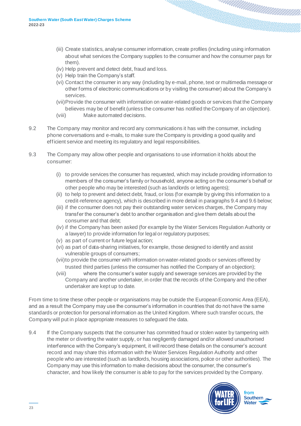- (iii) Create statistics, analyse consumer information, create profiles (including using information about what services the Company supplies to the consumer and how the consumer pays for them).
- (iv) Help prevent and detect debt, fraud and loss.
- (v) Help train the Company's staff.
- (vi) Contact the consumer in any way (including by e-mail, phone, text or multimedia message or other forms of electronic communications or by visiting the consumer) about the Company's services.
- (vii)Provide the consumer with information on water-related goods or services that the Company believes may be of benefit (unless the consumer has notified the Company of an objection).
- (viii) Make automated decisions.
- 9.2 The Company may monitor and record any communications it has with the consumer, including phone conversations and e-mails, to make sure the Company is providing a good quality and efficient service and meeting its regulatory and legal responsibilities.
- 9.3 The Company may allow other people and organisations to use information it holds about the consumer:
	- (i) to provide services the consumer has requested, which may include providing information to members of the consumer's family or household, anyone acting on the consumer's behalf or other people who may be interested (such as landlords or letting agents);
	- (ii) to help to prevent and detect debt, fraud, or loss (for example by giving this information to a credit-reference agency), which is described in more detail in paragraphs 9.4 and 9.6 below;
	- (iii) if the consumer does not pay their outstanding water services charges, the Company may transfer the consumer's debt to another organisation and give them details about the consumer and that debt;
	- (iv) if the Company has been asked (for example by the Water Services Regulation Authority or a lawyer) to provide information for legal or regulatory purposes;
	- (v) as part of current or future legal action;
	- (vi) as part of data-sharing initiatives, for example, those designed to identify and assist vulnerable groups of consumers;
	- (vii)to provide the consumer with information on water-related goods or services offered by trusted third parties (unless the consumer has notified the Company of an objection);
	- (viii) where the consumer's water supply and sewerage services are provided by the Company and another undertaker, in order that the records of the Company and the other undertaker are kept up to date.

From time to time these other people or organisations may be outside the European Economic Area (EEA), and as a result the Company may use the consumer's information in countries that do not have the same standards or protection for personal information as the United Kingdom. Where such transfer occurs, the Company will put in place appropriate measures to safeguard the data.

9.4 If the Company suspects that the consumer has committed fraud or stolen water by tampering with the meter or diverting the water supply, or has negligently damaged and/or allowed unauthorised interference with the Company's equipment, it will record these details on the consumer's account record and may share this information with the Water Services Regulation Authority and other people who are interested (such as landlords, housing associations, police or other authorities). The Company may use this information to make decisions about the consumer, the consumer's character, and how likely the consumer is able to pay for the services provided by the Company.

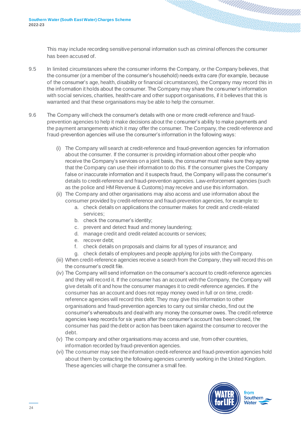This may include recording sensitive personal information such as criminal offences the consumer has been accused of.

- 9.5 In limited circumstances where the consumer informs the Company, or the Company believes, that the consumer (or a member of the consumer's household) needs extra care (for example, because of the consumer's age, health, disability or financial circumstances), the Company may record this in the information it holds about the consumer. The Company may share the consumer's information with social services, charities, health-care and other support organisations, if it believes that this is warranted and that these organisations may be able to help the consumer.
- 9.6 The Company will check the consumer's details with one or more credit-reference and fraudprevention agencies to help it make decisions about the consumer's ability to make payments and the payment arrangements which it may offer the consumer. The Company, the credit-reference and fraud-prevention agencies will use the consumer's information in the following ways:
	- (i) The Company will search at credit-reference and fraud-prevention agencies for information about the consumer. If the consumer is providing information about other people who receive the Company's services on a joint basis, the consumer must make sure they agree that the Company can use their information to do this. If the consumer gives the Company false or inaccurate information and it suspects fraud, the Company will pass the consumer's details to credit-reference and fraud-prevention agencies. Law-enforcement agencies (such as the police and HM Revenue & Customs) may receive and use this information.
	- (ii) The Company and other organisations may also access and use information about the consumer provided by credit-reference and fraud-prevention agencies, for example to:
		- a. check details on applications the consumer makes for credit and credit-related services;
		- b. check the consumer's identity;
		- c. prevent and detect fraud and money laundering;
		- d. manage credit and credit-related accounts or services;
		- e. recover debt;
		- f. check details on proposals and claims for all types of insurance; and
		- g. check details of employees and people applying for jobs with the Company.
	- (iii) When credit-reference agencies receive a search from the Company, they will record this on the consumer's credit file.
	- (iv) The Company will send information on the consumer's account to credit-reference agencies and they will record it. If the consumer has an account with the Company, the Company will give details of it and how the consumer manages it to credit-reference agencies. If the consumer has an account and does not repay money owed in full or on time, creditreference agencies will record this debt. They may give this information to other organisations and fraud-prevention agencies to carry out similar checks, find out the consumer's whereabouts and deal with any money the consumer owes. The credit-reference agencies keep records for six years after the consumer's account has been closed, the consumer has paid the debt or action has been taken against the consumer to recover the debt.
	- (v) The company and other organisations may access and use, from other countries, information recorded by fraud-prevention agencies.
	- (vi) The consumer may see the information credit-reference and fraud-prevention agencies hold about them by contacting the following agencies currently working in the United Kingdom. These agencies will charge the consumer a small fee.

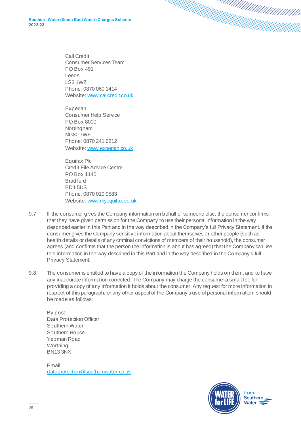Call Credit Consumer Services Team PO Box 491 Leeds LS3 1WZ Phone: 0870 060 1414 Website[: www.callcredit.co.uk](http://www.callcredit.co.uk/)

Experian Consumer Help Service PO Box 8000 Nottingham NG80 7WF Phone: 0870 241 6212 Website[: www.experian.co.uk](http://www.experian.co.uk/)

Equifax Plc Credit File Advice Centre PO Box 1140 **Bradford** BD1 5US Phone: 0870 010 0583 Website[: www.myequifax.co.uk](http://www.myequifax.co.uk/)

- 9.7 If the consumer gives the Company information on behalf of someone else, the consumer confirms that they have given permission for the Company to use their personal information in the way described earlier in this Part and in the way described in the Company's full Privacy Statement. If the consumer gives the Company sensitive information about themselves or other people (such as health details or details of any criminal convictions of members of their household), the consumer agrees (and confirms that the person the information is about has agreed) that the Company can use this information in the way described in this Part and in the way described in the Company's full Privacy Statement.
- 9.8 The consumer is entitled to have a copy of the information the Company holds on them, and to have any inaccurate information corrected. The Company may charge the consumer a small fee for providing a copy of any information it holds about the consumer. Any request for more information in respect of this paragraph, or any other aspect of the Company's use of personal information, should be made as follows:

By post: Data Protection Officer Southern Water Southern House Yeoman Road **Worthing** BN13 3NX

Email: [dataprotection@southernwater.co.uk](mailto:dataprotection@southernwater.co.uk)